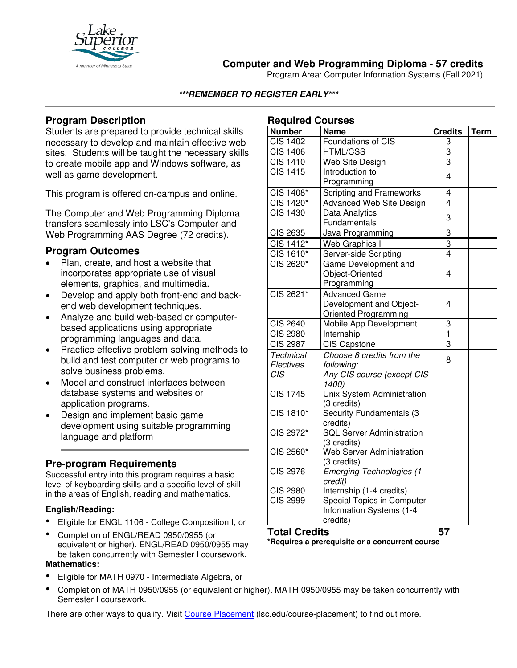

# **Computer and Web Programming Diploma - 57 credits**

Program Area: Computer Information Systems (Fall 2021)

#### **\*\*\*REMEMBER TO REGISTER EARLY\*\*\***

## **Program Description**

Students are prepared to provide technical skills necessary to develop and maintain effective web sites. Students will be taught the necessary skills to create mobile app and Windows software, as well as game development.

This program is offered on-campus and online.

The Computer and Web Programming Diploma transfers seamlessly into LSC's Computer and Web Programming AAS Degree (72 credits).

### **Program Outcomes**

- Plan, create, and host a website that incorporates appropriate use of visual elements, graphics, and multimedia.
- Develop and apply both front-end and backend web development techniques.
- Analyze and build web-based or computerbased applications using appropriate programming languages and data.
- Practice effective problem-solving methods to build and test computer or web programs to solve business problems.
- Model and construct interfaces between database systems and websites or application programs.
- Design and implement basic game development using suitable programming language and platform

## **Pre-program Requirements**

Successful entry into this program requires a basic level of keyboarding skills and a specific level of skill in the areas of English, reading and mathematics.

#### **English/Reading:**

- Eligible for ENGL 1106 College Composition I, or
- Completion of ENGL/READ 0950/0955 (or equivalent or higher). ENGL/READ 0950/0955 may be taken concurrently with Semester I coursework. **Mathematics:**
- Eligible for MATH 0970 Intermediate Algebra, or
- Completion of MATH 0950/0955 (or equivalent or higher). MATH 0950/0955 may be taken concurrently with Semester I coursework.

There are other ways to qualify. Visit [Course Placement](https://www.lsc.edu/course-placement/) (lsc.edu/course-placement) to find out more.

### **Required Courses**

| nequireu Courses       |                                                               |                |             |
|------------------------|---------------------------------------------------------------|----------------|-------------|
| <b>Number</b>          | <b>Name</b>                                                   | <b>Credits</b> | <b>Term</b> |
| <b>CIS 1402</b>        | Foundations of CIS                                            | 3              |             |
| $\overline{C}$ IS 1406 | <b>HTML/CSS</b>                                               | 3              |             |
| <b>CIS 1410</b>        | <b>Web Site Design</b>                                        | $\overline{3}$ |             |
| <b>CIS 1415</b>        | Introduction to                                               | 4              |             |
|                        | Programming                                                   |                |             |
| CIS 1408*              | Scripting and Frameworks                                      | 4              |             |
| CIS 1420*              | Advanced Web Site Design                                      | 4              |             |
| $CI\overline{S}$ 1430  | Data Analytics                                                | 3              |             |
|                        | Fundamentals                                                  |                |             |
| CIS 2635               | Java Programming                                              | 3              |             |
| CIS 1412*              | Web Graphics I                                                | 3              |             |
| CIS 1610*              | Server-side Scripting                                         | 4              |             |
| CIS 2620*              | Game Development and                                          |                |             |
|                        | Object-Oriented                                               | 4              |             |
|                        | Programming                                                   |                |             |
| CIS 2621*              | <b>Advanced Game</b>                                          |                |             |
|                        | Development and Object-                                       | 4              |             |
|                        | Oriented Programming                                          |                |             |
| CIS 2640               | Mobile App Development                                        | 3              |             |
| <b>CIS 2980</b>        | Internship                                                    | 1              |             |
| <b>CIS 2987</b>        | <b>CIS Capstone</b>                                           | $\overline{3}$ |             |
| <b>Technical</b>       | Choose 8 credits from the                                     | 8              |             |
| Electives              | following:                                                    |                |             |
| <b>CIS</b>             | Any CIS course (except CIS                                    |                |             |
|                        | 1400)                                                         |                |             |
| <b>CIS 1745</b>        | Unix System Administration                                    |                |             |
|                        | (3 credits)                                                   |                |             |
| CIS 1810*              | <b>Security Fundamentals (3</b>                               |                |             |
|                        | credits)                                                      |                |             |
| CIS 2972*              | <b>SQL Server Administration</b>                              |                |             |
|                        | (3 credits)                                                   |                |             |
| CIS 2560*              | <b>Web Server Administration</b>                              |                |             |
|                        | (3 credits)                                                   |                |             |
| <b>CIS 2976</b>        | <b>Emerging Technologies (1</b>                               |                |             |
| <b>CIS 2980</b>        | credit)                                                       |                |             |
| <b>CIS 2999</b>        | Internship (1-4 credits)<br><b>Special Topics in Computer</b> |                |             |
|                        | Information Systems (1-4                                      |                |             |
|                        | credits)                                                      |                |             |
|                        |                                                               |                |             |

**Total Credits 57 \*Requires a prerequisite or a concurrent course**